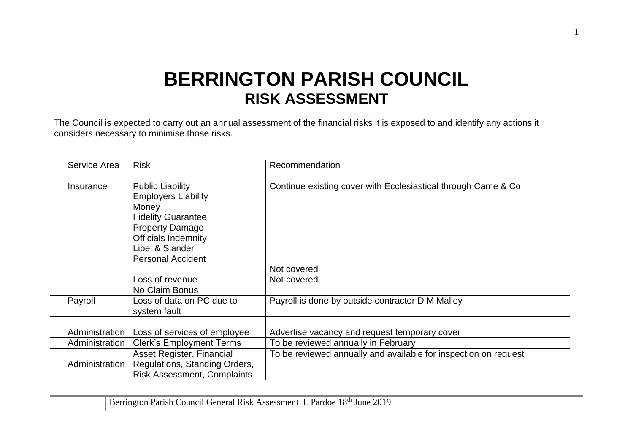## **BERRINGTON PARISH COUNCIL RISK ASSESSMENT**

The Council is expected to carry out an annual assessment of the financial risks it is exposed to and identify any actions it considers necessary to minimise those risks.

| Service Area   | <b>Risk</b>                                                                                                                                                                                        | Recommendation                                                  |
|----------------|----------------------------------------------------------------------------------------------------------------------------------------------------------------------------------------------------|-----------------------------------------------------------------|
| Insurance      | <b>Public Liability</b><br><b>Employers Liability</b><br>Money<br><b>Fidelity Guarantee</b><br><b>Property Damage</b><br><b>Officials Indemnity</b><br>Libel & Slander<br><b>Personal Accident</b> | Continue existing cover with Ecclesiastical through Came & Co   |
|                |                                                                                                                                                                                                    | Not covered                                                     |
|                | Loss of revenue<br>No Claim Bonus                                                                                                                                                                  | Not covered                                                     |
| Payroll        | Loss of data on PC due to<br>system fault                                                                                                                                                          | Payroll is done by outside contractor D M Malley                |
| Administration | Loss of services of employee                                                                                                                                                                       | Advertise vacancy and request temporary cover                   |
| Administration | <b>Clerk's Employment Terms</b>                                                                                                                                                                    | To be reviewed annually in February                             |
| Administration | Asset Register, Financial<br>Regulations, Standing Orders,<br><b>Risk Assessment, Complaints</b>                                                                                                   | To be reviewed annually and available for inspection on request |